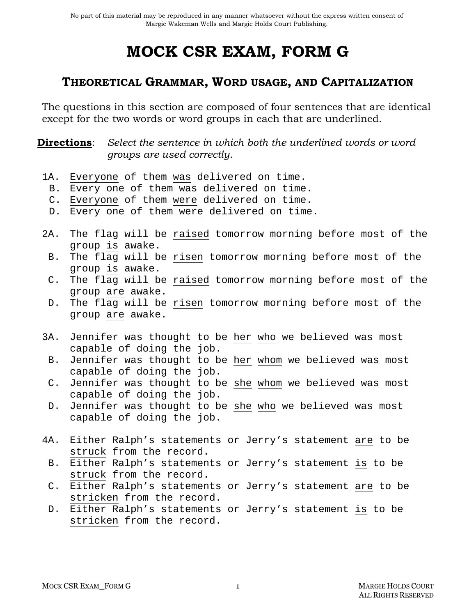# **MOCK CSR EXAM, FORM G**

## **THEORETICAL GRAMMAR, WORD USAGE, AND CAPITALIZATION**

The questions in this section are composed of four sentences that are identical except for the two words or word groups in each that are underlined.

**Directions**: *Select the sentence in which both the underlined words or word groups are used correctly.* 

- 1A. Everyone of them was delivered on time.
- B. Every one of them was delivered on time.
- C. Everyone of them were delivered on time.
- D. Every one of them were delivered on time.
- 2A. The flag will be raised tomorrow morning before most of the group is awake.
- B. The flag will be risen tomorrow morning before most of the group is awake.
- C. The flag will be raised tomorrow morning before most of the group are awake.
- D. The flag will be risen tomorrow morning before most of the group are awake.
- 3A. Jennifer was thought to be her who we believed was most capable of doing the job.
- B. Jennifer was thought to be her whom we believed was most capable of doing the job.
- C. Jennifer was thought to be she whom we believed was most capable of doing the job.
- D. Jennifer was thought to be she who we believed was most capable of doing the job.
- 4A. Either Ralph's statements or Jerry's statement are to be struck from the record.
- B. Either Ralph's statements or Jerry's statement is to be struck from the record.
- C. Either Ralph's statements or Jerry's statement are to be stricken from the record.
- D. Either Ralph's statements or Jerry's statement is to be stricken from the record.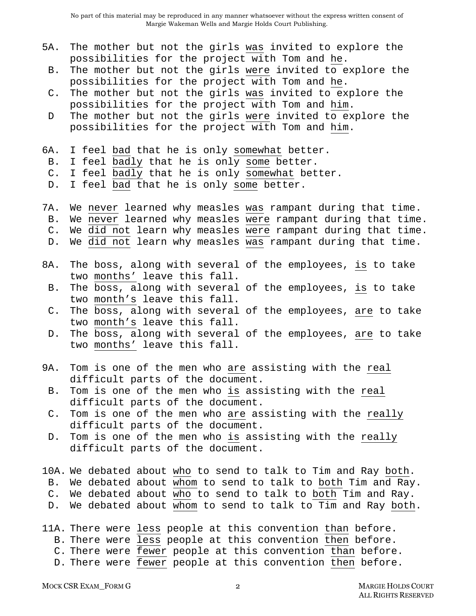- 5A. The mother but not the girls was invited to explore the possibilities for the project with Tom and he.
	- B. The mother but not the girls were invited to explore the possibilities for the project with Tom and he.
	- C. The mother but not the girls was invited to explore the possibilities for the project with Tom and him.
	- D The mother but not the girls were invited to explore the possibilities for the project with Tom and him.
- 6A. I feel bad that he is only somewhat better.
- B. I feel badly that he is only some better.
- C. I feel badly that he is only somewhat better.
- D. I feel bad that he is only some better.
- 7A. We never learned why measles was rampant during that time. B. We never learned why measles were rampant during that time. C. We did not learn why measles were rampant during that time. D. We did not learn why measles was rampant during that time.
- 8A. The boss, along with several of the employees, is to take two months' leave this fall.
- B. The boss, along with several of the employees, is to take two month's leave this fall.
- C. The boss, along with several of the employees, are to take two month's leave this fall.
- D. The boss, along with several of the employees, are to take two months' leave this fall.
- 9A. Tom is one of the men who are assisting with the real difficult parts of the document.
- B. Tom is one of the men who is assisting with the real difficult parts of the document.
- C. Tom is one of the men who are assisting with the really difficult parts of the document.
- D. Tom is one of the men who is assisting with the really difficult parts of the document.
- 10A. We debated about who to send to talk to Tim and Ray both.
	- B. We debated about whom to send to talk to both Tim and Ray.
	- C. We debated about who to send to talk to both Tim and Ray.
	- D. We debated about whom to send to talk to Tim and Ray both.
- 11A. There were less people at this convention than before. B. There were less people at this convention then before. C. There were fewer people at this convention than before. D. There were fewer people at this convention then before.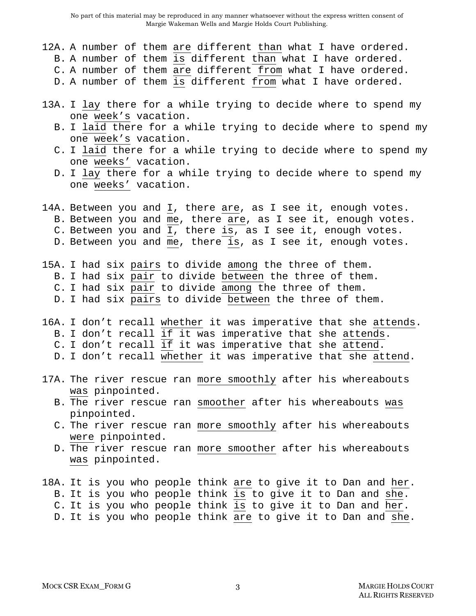- 12A. A number of them are different than what I have ordered.
	- B. A number of them is different than what I have ordered.
	- C. A number of them are different from what I have ordered.
	- D. A number of them is different from what I have ordered.
- 13A. I lay there for a while trying to decide where to spend my one week's vacation.
	- B. I laid there for a while trying to decide where to spend my one week's vacation.
	- C. I laid there for a while trying to decide where to spend my one weeks' vacation.
	- D. I lay there for a while trying to decide where to spend my one weeks' vacation.
- 14A. Between you and I, there are, as I see it, enough votes.
	- B. Between you and me, there are, as I see it, enough votes.
	- C. Between you and I, there is, as I see it, enough votes.
	- D. Between you and me, there is, as I see it, enough votes.
- 15A. I had six pairs to divide among the three of them.
	- B. I had six pair to divide between the three of them.
	- C. I had six pair to divide among the three of them.
	- D. I had six pairs to divide between the three of them.
- 16A. I don't recall whether it was imperative that she attends.
	- B. I don't recall if it was imperative that she attends.
	- C. I don't recall if it was imperative that she attend.
	- D. I don't recall whether it was imperative that she attend.
- 17A. The river rescue ran more smoothly after his whereabouts was pinpointed.
	- B. The river rescue ran smoother after his whereabouts was pinpointed.
	- C. The river rescue ran more smoothly after his whereabouts were pinpointed.
	- D. The river rescue ran more smoother after his whereabouts was pinpointed.
- 18A. It is you who people think are to give it to Dan and her. B. It is you who people think is to give it to Dan and she. C. It is you who people think is to give it to Dan and her. D. It is you who people think are to give it to Dan and she.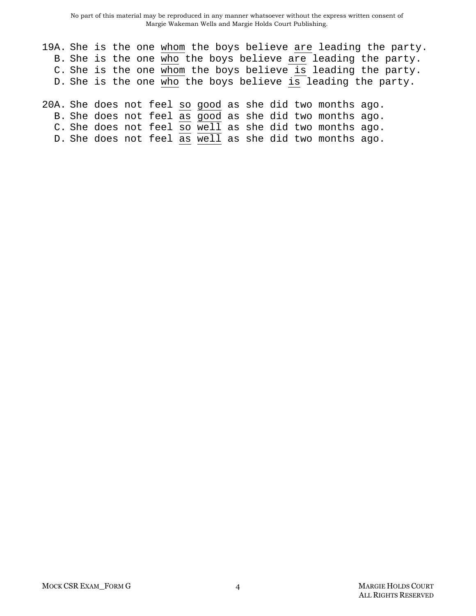- 19A. She is the one whom the boys believe are leading the party. B. She is the one who the boys believe are leading the party. C. She is the one whom the boys believe is leading the party. D. She is the one who the boys believe is leading the party.
- 20A. She does not feel so good as she did two months ago. B. She does not feel as good as she did two months ago. C. She does not feel so well as she did two months ago. D. She does not feel as well as she did two months ago.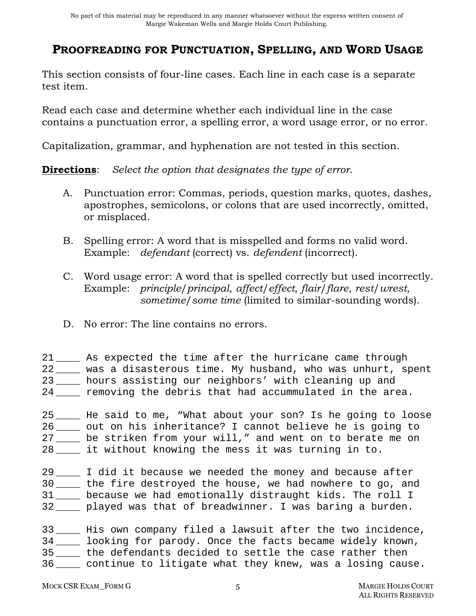## **PROOFREADING FOR PUNCTUATION, SPELLING, AND WORD USAGE**

This section consists of four-line cases. Each line in each case is a separate test item.

Read each case and determine whether each individual line in the case contains a punctuation error, a spelling error, a word usage error, or no error.

Capitalization, grammar, and hyphenation are not tested in this section.

**Directions**: *Select the option that designates the type of error*.

- A. Punctuation error: Commas, periods, question marks, quotes, dashes, apostrophes, semicolons, or colons that are used incorrectly, omitted, or misplaced.
- B. Spelling error: A word that is misspelled and forms no valid word. Example: *defendant* (correct) vs. *defendent* (incorrect).
- C. Word usage error: A word that is spelled correctly but used incorrectly. Example: *principle*/*principal*, *affect*/*effect*, *flair*/*flare*, *rest*/*wrest*, *sometime*/*some time* (limited to similar-sounding words).
- D. No error: The line contains no errors.

21 \_\_\_\_ As expected the time after the hurricane came through 22 \_\_\_\_ was a disasterous time. My husband, who was unhurt, spent 23 \_\_\_\_ hours assisting our neighbors' with cleaning up and 24 \_\_\_\_ removing the debris that had accummulated in the area.

25 He said to me, "What about your son? Is he going to loose 26 \_\_\_\_ out on his inheritance? I cannot believe he is going to 27 \_\_\_\_ be striken from your will," and went on to berate me on 28 it without knowing the mess it was turning in to.

29 \_\_\_\_ I did it because we needed the money and because after 30 \_\_\_\_ the fire destroyed the house, we had nowhere to go, and 31 \_\_\_\_ because we had emotionally distraught kids. The roll I 32 \_\_\_\_ played was that of breadwinner. I was baring a burden.

33 \_\_\_\_ His own company filed a lawsuit after the two incidence, 34 \_\_\_\_ looking for parody. Once the facts became widely known, 35 \_\_\_\_ the defendants decided to settle the case rather then 36 \_\_\_\_ continue to litigate what they knew, was a losing cause.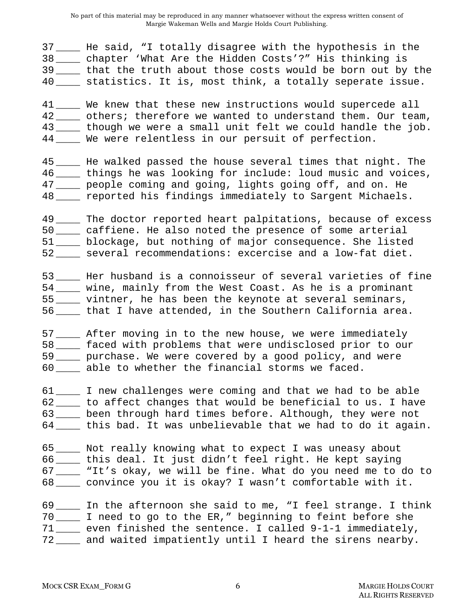40 \_\_\_\_ statistics. It is, most think, a totally seperate issue. 37 \_\_\_\_ He said, "I totally disagree with the hypothesis in the 38 \_\_\_\_ chapter 'What Are the Hidden Costs'?" His thinking is 39 \_\_\_\_ that the truth about those costs would be born out by the

41 \_\_\_\_ We knew that these new instructions would supercede all 42 others; therefore we wanted to understand them. Our team, 43 \_\_\_\_ though we were a small unit felt we could handle the job. 44 We were relentless in our persuit of perfection.

45 \_\_\_\_ He walked passed the house several times that night. The 46 \_\_\_\_ things he was looking for include: loud music and voices, 47 \_\_\_\_ people coming and going, lights going off, and on. He 48 \_\_\_\_ reported his findings immediately to Sargent Michaels.

50 \_\_\_\_ caffiene. He also noted the presence of some arterial 49 \_\_\_\_ The doctor reported heart palpitations, because of excess 51 \_\_\_\_ blockage, but nothing of major consequence. She listed 52 \_\_\_\_ several recommendations: excercise and a low-fat diet.

55 \_\_\_\_ vintner, he has been the keynote at several seminars, 53 \_\_\_\_ Her husband is a connoisseur of several varieties of fine 54 wine, mainly from the West Coast. As he is a prominant 56 \_\_\_\_ that I have attended, in the Southern California area.

60 \_\_\_\_ able to whether the financial storms we faced. 57 \_\_\_\_ After moving in to the new house, we were immediately 58 \_\_\_\_ faced with problems that were undisclosed prior to our 59 \_\_\_\_ purchase. We were covered by a good policy, and were

61 \_\_\_\_ I new challenges were coming and that we had to be able 62 \_\_\_\_ to affect changes that would be beneficial to us. I have 63 \_\_\_\_ been through hard times before. Although, they were not 64 \_\_\_\_ this bad. It was unbelievable that we had to do it again.

65 \_\_\_\_ Not really knowing what to expect I was uneasy about 66 \_\_\_\_ this deal. It just didn't feel right. He kept saying 67 \_\_\_\_ "It's okay, we will be fine. What do you need me to do to 68 \_\_\_\_ convince you it is okay? I wasn't comfortable with it.

70 \_\_\_\_ I need to go to the ER," beginning to feint before she 69 \_\_\_\_ In the afternoon she said to me, "I feel strange. I think 71 \_\_\_\_ even finished the sentence. I called 9-1-1 immediately, 72 \_\_\_\_ and waited impatiently until I heard the sirens nearby.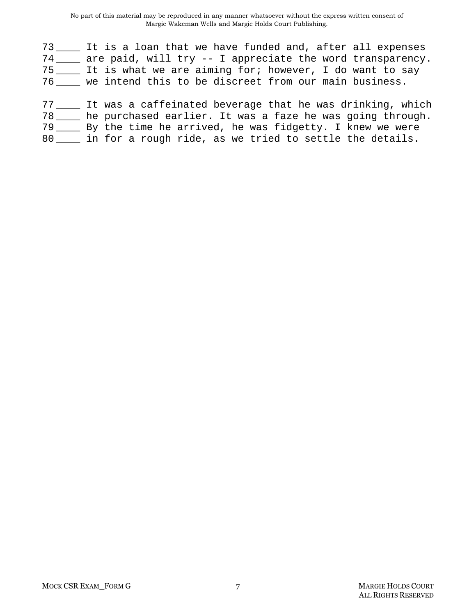73 \_\_\_\_ It is a loan that we have funded and, after all expenses 74 \_\_\_\_ are paid, will try -- I appreciate the word transparency. 75 \_\_\_\_ It is what we are aiming for; however, I do want to say 76 \_\_\_\_ we intend this to be discreet from our main business.

77 \_\_\_\_ It was a caffeinated beverage that he was drinking, which 78 \_\_\_\_ he purchased earlier. It was a faze he was going through. 79 \_\_\_\_ By the time he arrived, he was fidgetty. I knew we were 80 \_\_\_\_ in for a rough ride, as we tried to settle the details.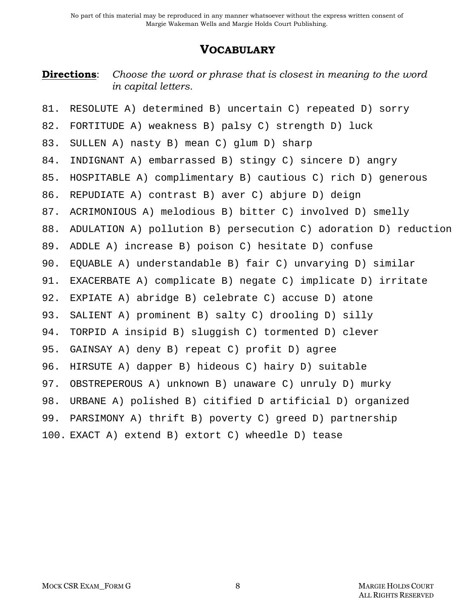## **VOCABULARY**

#### **Directions**: *Choose the word or phrase that is closest in meaning to the word in capital letters.*

81. RESOLUTE A) determined B) uncertain C) repeated D) sorry 82. FORTITUDE A) weakness B) palsy C) strength D) luck 83. SULLEN A) nasty B) mean C) glum D) sharp 84. INDIGNANT A) embarrassed B) stingy C) sincere D) angry 85. HOSPITABLE A) complimentary B) cautious C) rich D) generous 86. REPUDIATE A) contrast B) aver C) abjure D) deign 87. ACRIMONIOUS A) melodious B) bitter C) involved D) smelly 88. ADULATION A) pollution B) persecution C) adoration D) reduction 89. ADDLE A) increase B) poison C) hesitate D) confuse 90. EQUABLE A) understandable B) fair C) unvarying D) similar 91. EXACERBATE A) complicate B) negate C) implicate D) irritate 92. EXPIATE A) abridge B) celebrate C) accuse D) atone 93. SALIENT A) prominent B) salty C) drooling D) silly 94. TORPID A insipid B) sluggish C) tormented D) clever 95. GAINSAY A) deny B) repeat C) profit D) agree 96. HIRSUTE A) dapper B) hideous C) hairy D) suitable 97. OBSTREPEROUS A) unknown B) unaware C) unruly D) murky 98. URBANE A) polished B) citified D artificial D) organized 99. PARSIMONY A) thrift B) poverty C) greed D) partnership 100. EXACT A) extend B) extort C) wheedle D) tease

ALL RIGHTS RESERVED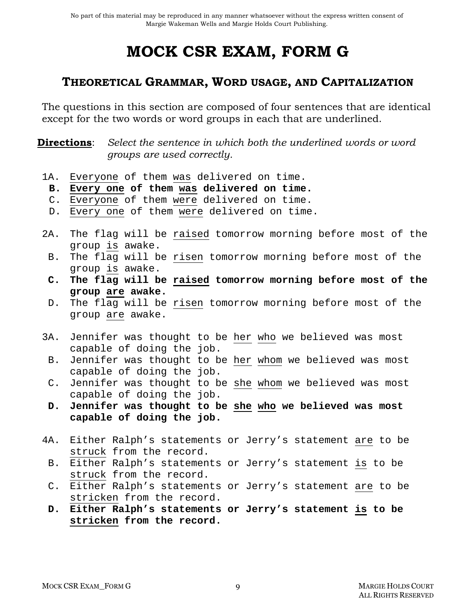# **MOCK CSR EXAM, FORM G**

## **THEORETICAL GRAMMAR, WORD USAGE, AND CAPITALIZATION**

The questions in this section are composed of four sentences that are identical except for the two words or word groups in each that are underlined.

**Directions**: *Select the sentence in which both the underlined words or word groups are used correctly.* 

- 1A. Everyone of them was delivered on time.
- **B. Every one of them was delivered on time.**
- C. Everyone of them were delivered on time.
- D. Every one of them were delivered on time.
- 2A. The flag will be raised tomorrow morning before most of the group is awake.
	- B. The flag will be risen tomorrow morning before most of the group is awake.
	- **C. The flag will be raised tomorrow morning before most of the group are awake.**
- D. The flag will be risen tomorrow morning before most of the group are awake.
- 3A. Jennifer was thought to be her who we believed was most capable of doing the job.
- B. Jennifer was thought to be her whom we believed was most capable of doing the job.
- C. Jennifer was thought to be she whom we believed was most capable of doing the job.
- **D. Jennifer was thought to be she who we believed was most capable of doing the job.**
- 4A. Either Ralph's statements or Jerry's statement are to be struck from the record.
- B. Either Ralph's statements or Jerry's statement is to be struck from the record.
- C. Either Ralph's statements or Jerry's statement are to be stricken from the record.
- **D. Either Ralph's statements or Jerry's statement is to be stricken from the record.**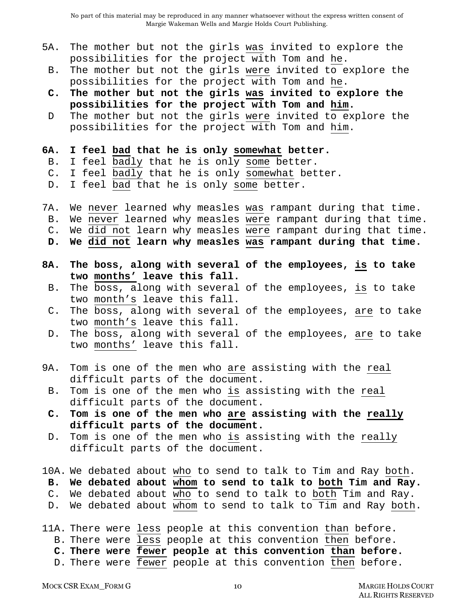- 5A. The mother but not the girls was invited to explore the possibilities for the project with Tom and he.
	- B. The mother but not the girls were invited to explore the possibilities for the project with Tom and he.
	- **C. The mother but not the girls was invited to explore the possibilities for the project with Tom and him.**
	- D The mother but not the girls were invited to explore the possibilities for the project with Tom and him.

#### **6A. I feel bad that he is only somewhat better.**

- B. I feel badly that he is only some better.
- C. I feel badly that he is only somewhat better.
- D. I feel bad that he is only some better.
- 7A. We never learned why measles was rampant during that time.
- B. We never learned why measles were rampant during that time.
- C. We did not learn why measles were rampant during that time.
- **D. We did not learn why measles was rampant during that time.**
- **8A. The boss, along with several of the employees, is to take two months' leave this fall.**
- B. The boss, along with several of the employees, is to take two month's leave this fall.
- C. The boss, along with several of the employees, are to take two month's leave this fall.
- D. The boss, along with several of the employees, are to take two months' leave this fall.
- 9A. Tom is one of the men who are assisting with the real difficult parts of the document.
- B. Tom is one of the men who is assisting with the real difficult parts of the document.
- **C. Tom is one of the men who are assisting with the really difficult parts of the document.**
- D. Tom is one of the men who is assisting with the really difficult parts of the document.
- 10A. We debated about who to send to talk to Tim and Ray both.
	- **B. We debated about whom to send to talk to both Tim and Ray.**
	- C. We debated about who to send to talk to both Tim and Ray.
	- D. We debated about whom to send to talk to Tim and Ray both.
- 11A. There were less people at this convention than before. B. There were less people at this convention then before. **C. There were fewer people at this convention than before.**  D. There were fewer people at this convention then before.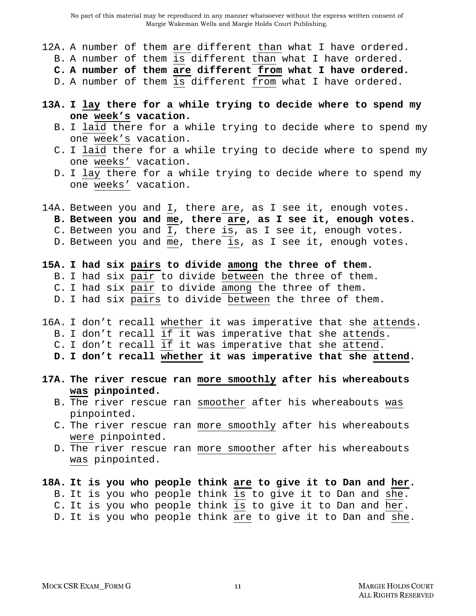- 12A. A number of them are different than what I have ordered.
	- B. A number of them is different than what I have ordered.
	- **C. A number of them are different from what I have ordered.**

D. A number of them is different from what I have ordered.

- **13A. I lay there for a while trying to decide where to spend my one week's vacation.** 
	- B. I laid there for a while trying to decide where to spend my one week's vacation.
	- C. I laid there for a while trying to decide where to spend my one weeks' vacation.
	- D. I lay there for a while trying to decide where to spend my one weeks' vacation.
- 14A. Between you and I, there are, as I see it, enough votes.
	- **B. Between you and me, there are, as I see it, enough votes.**
	- C. Between you and I, there is, as I see it, enough votes.
	- D. Between you and me, there is, as I see it, enough votes.
- **15A. I had six pairs to divide among the three of them.** 
	- B. I had six pair to divide between the three of them.
	- C. I had six pair to divide among the three of them.
	- D. I had six pairs to divide between the three of them.
- 16A. I don't recall whether it was imperative that she attends.
	- B. I don't recall if it was imperative that she attends.
	- C. I don't recall  $\overline{if}$  it was imperative that she attend.
	- **D. I don't recall whether it was imperative that she attend.**
- **17A. The river rescue ran more smoothly after his whereabouts was pinpointed.** 
	- B. The river rescue ran smoother after his whereabouts was pinpointed.
	- C. The river rescue ran more smoothly after his whereabouts were pinpointed.
	- D. The river rescue ran more smoother after his whereabouts was pinpointed.
- **18A. It is you who people think are to give it to Dan and her.**  B. It is you who people think is to give it to Dan and she. C. It is you who people think is to give it to Dan and her. D. It is you who people think are to give it to Dan and she.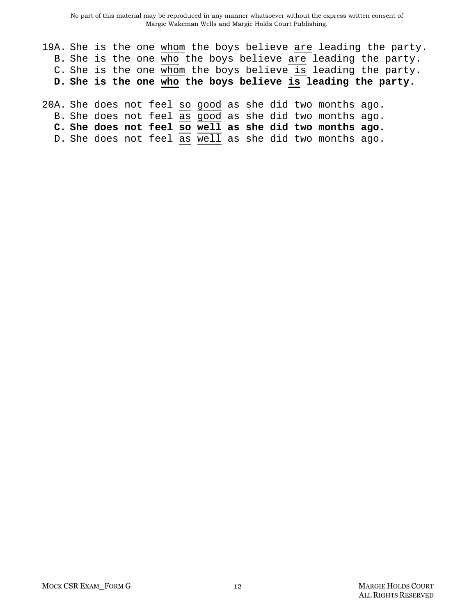- 19A. She is the one whom the boys believe are leading the party. B. She is the one who the boys believe are leading the party. C. She is the one whom the boys believe is leading the party. **D. She is the one who the boys believe is leading the party.**
- 20A. She does not feel so good as she did two months ago. B. She does not feel as good as she did two months ago. **C. She does not feel so well as she did two months ago.**  D. She does not feel as well as she did two months ago.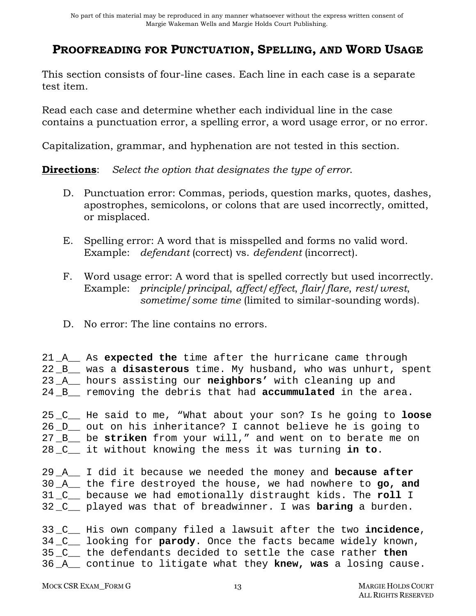## **PROOFREADING FOR PUNCTUATION, SPELLING, AND WORD USAGE**

This section consists of four-line cases. Each line in each case is a separate test item.

Read each case and determine whether each individual line in the case contains a punctuation error, a spelling error, a word usage error, or no error.

Capitalization, grammar, and hyphenation are not tested in this section.

**Directions**: *Select the option that designates the type of error*.

- D. Punctuation error: Commas, periods, question marks, quotes, dashes, apostrophes, semicolons, or colons that are used incorrectly, omitted, or misplaced.
- E. Spelling error: A word that is misspelled and forms no valid word. Example: *defendant* (correct) vs. *defendent* (incorrect).
- F. Word usage error: A word that is spelled correctly but used incorrectly. Example: *principle*/*principal*, *affect*/*effect*, *flair*/*flare*, *rest*/*wrest*, *sometime*/*some time* (limited to similar-sounding words).
- D. No error: The line contains no errors.

21 \_A\_\_ As **expected the** time after the hurricane came through 22 \_B\_\_ was a **disasterous** time. My husband, who was unhurt, spent 23 \_A\_\_ hours assisting our **neighbors'** with cleaning up and 24 \_B\_\_ removing the debris that had **accummulated** in the area.

25 \_C\_\_ He said to me, "What about your son? Is he going to **loose**  26 \_D\_\_ out on his inheritance? I cannot believe he is going to 27 \_B\_\_ be **striken** from your will," and went on to berate me on 28 \_C\_\_ it without knowing the mess it was turning **in to**.

29 \_A\_\_ I did it because we needed the money and **because after**  30 \_A\_\_ the fire destroyed the house, we had nowhere to **go, and**  31 \_C\_\_ because we had emotionally distraught kids. The **roll** I 32 \_C\_\_ played was that of breadwinner. I was **baring** a burden.

33 \_C\_\_ His own company filed a lawsuit after the two **incidence**, 34 \_C\_\_ looking for **parody**. Once the facts became widely known, 35 \_C\_\_ the defendants decided to settle the case rather **then**  36 \_A\_\_ continue to litigate what they **knew, was** a losing cause.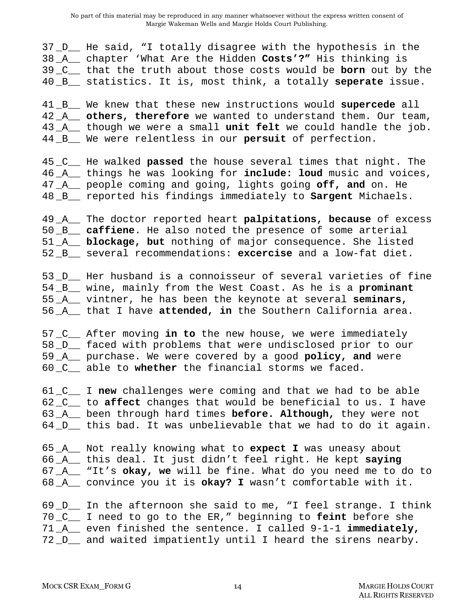40 \_B\_\_ statistics. It is, most think, a totally **seperate** issue. 37 \_D\_\_ He said, "I totally disagree with the hypothesis in the 38 \_A\_\_ chapter 'What Are the Hidden **Costs'?"** His thinking is 39 \_C\_\_ that the truth about those costs would be **born** out by the

41 \_B\_\_ We knew that these new instructions would **supercede** all 42 \_A\_\_ **others, therefore** we wanted to understand them. Our team, 43 \_A\_\_ though we were a small **unit felt** we could handle the job. 44 \_B\_\_ We were relentless in our **persuit** of perfection.

45 \_C\_\_ He walked **passed** the house several times that night. The 46 \_A\_\_ things he was looking for **include: loud** music and voices, 47 \_A\_\_ people coming and going, lights going **off, and** on. He 48 \_B\_\_ reported his findings immediately to **Sargent** Michaels.

50 \_B\_\_ **caffiene**. He also noted the presence of some arterial 49 \_A\_\_ The doctor reported heart **palpitations, because** of excess 51 \_A\_\_ **blockage, but** nothing of major consequence. She listed 52 \_B\_\_ several recommendations: **excercise** and a low-fat diet.

55 \_A\_\_ vintner, he has been the keynote at several **seminars,**  53 \_D\_\_ Her husband is a connoisseur of several varieties of fine 54 \_B\_\_ wine, mainly from the West Coast. As he is a **prominant**  56 \_A\_\_ that I have **attended, in** the Southern California area.

60 \_C\_\_ able to **whether** the financial storms we faced. 57 \_C\_\_ After moving **in to** the new house, we were immediately 58 \_D\_\_ faced with problems that were undisclosed prior to our 59 \_A\_\_ purchase. We were covered by a good **policy, and** were

61 \_C\_\_ I **new** challenges were coming and that we had to be able 62 \_C\_\_ to **affect** changes that would be beneficial to us. I have 63 \_A\_\_ been through hard times **before. Although,** they were not 64 \_D\_\_ this bad. It was unbelievable that we had to do it again.

65 \_A\_\_ Not really knowing what to **expect I** was uneasy about 66 \_A\_\_ this deal. It just didn't feel right. He kept **saying**  67 \_A\_\_ "It's **okay, we** will be fine. What do you need me to do to 68 \_A\_\_ convince you it is **okay? I** wasn't comfortable with it.

70 \_C\_\_ I need to go to the ER," beginning to **feint** before she 69 \_D\_\_ In the afternoon she said to me, "I feel strange. I think 71 \_A\_\_ even finished the sentence. I called 9-1-1 **immediately,**  72 \_D\_\_ and waited impatiently until I heard the sirens nearby.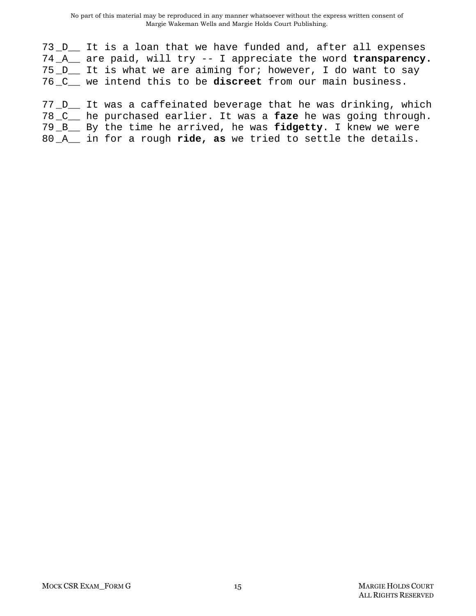73 \_D\_\_ It is a loan that we have funded and, after all expenses 74 \_A\_\_ are paid, will try -- I appreciate the word **transparency.**  75 \_D\_\_ It is what we are aiming for; however, I do want to say 76 \_C\_\_ we intend this to be **discreet** from our main business.

77 \_D\_\_ It was a caffeinated beverage that he was drinking, which 78 \_C\_\_ he purchased earlier. It was a **faze** he was going through. 79 \_B\_\_ By the time he arrived, he was **fidgetty**. I knew we were 80 \_A\_\_ in for a rough **ride, as** we tried to settle the details.